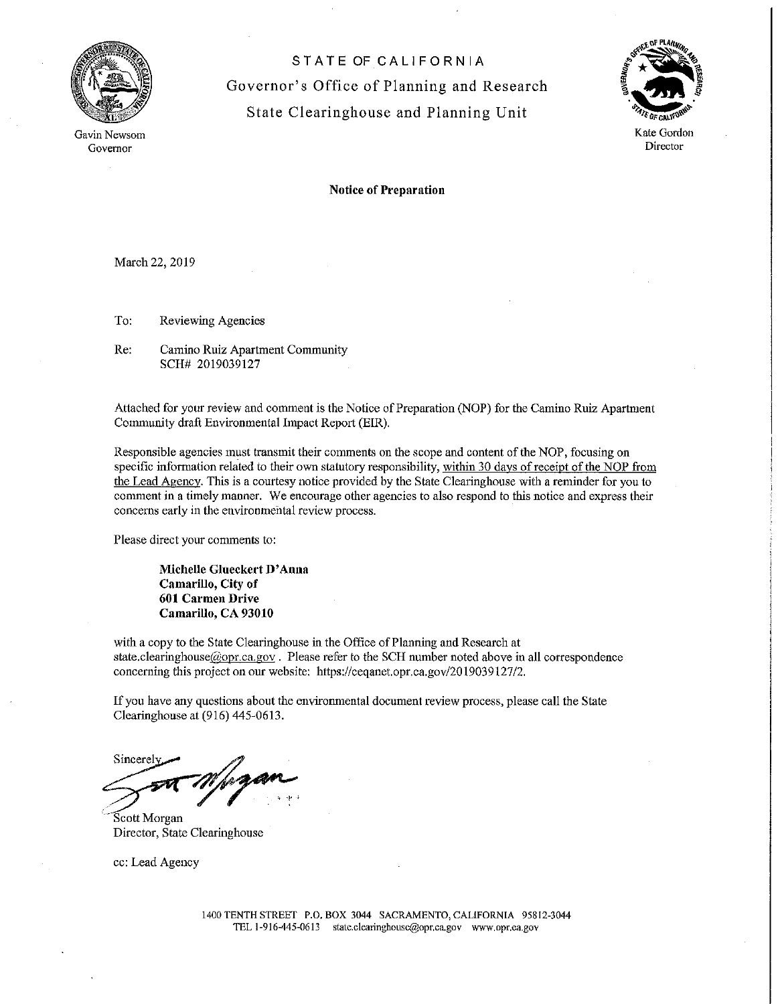

Gavin Newsom Governor

STATE OF CALIFORNIA Governor's Office of Planning and Research State Clearinghouse and Planning Unit



Notice of Preparation

March 22, 2019

To: Reviewing Agencies

Re: Camino Ruiz Apartment Community SCH# 2019039127

Attached for your review and comment is the Notice of Preparation (NOP) for the Camino Ruiz Apartment Community draft Environmental Impact Report (EIR).

Responsible agencies must transmit their comments on the scope and content of the NOP, focusing on specific information related to their own statutory responsibility, within 30 days of receipt of the NOP from the Lead Agency. This is a courtesy notice provided by the State Clearinghouse with a reminder for you to comment in a timely manner. We encourage other agencies to also respond to this notice and express their concerns early in the environmental review process.

Please direct your comments to:

**Michelle Glueckert D' Anna Camarillo, City of 601 Carmen Drive Camarillo, CA 93010** 

with a copy to the State Clearinghouse in the Office of Planning and Research at state.clearinghouse@opr.ca.gov. Please refer to the SCH number noted above in all correspondence concerning this project on onr website: https://ceqanet.opr.ca.gov/2019039127/2.

If you have any questions about the environmental document review process, please call the State Clearinghouse at (916) 445-0613 .

. Clearinghouse at (916) 445-0<br>Sincerely sincere who gan

· Scott Morgan Director, State Clearinghouse

cc: Lead Agency

1400 TENTH STREET P.O. BOX 3044 SACRAMENTO, CALlFORNlA 95812-3044 TEL l-916-445-0613 statc.clearinghousc@opr.ca.gov www.opr.ca.gov